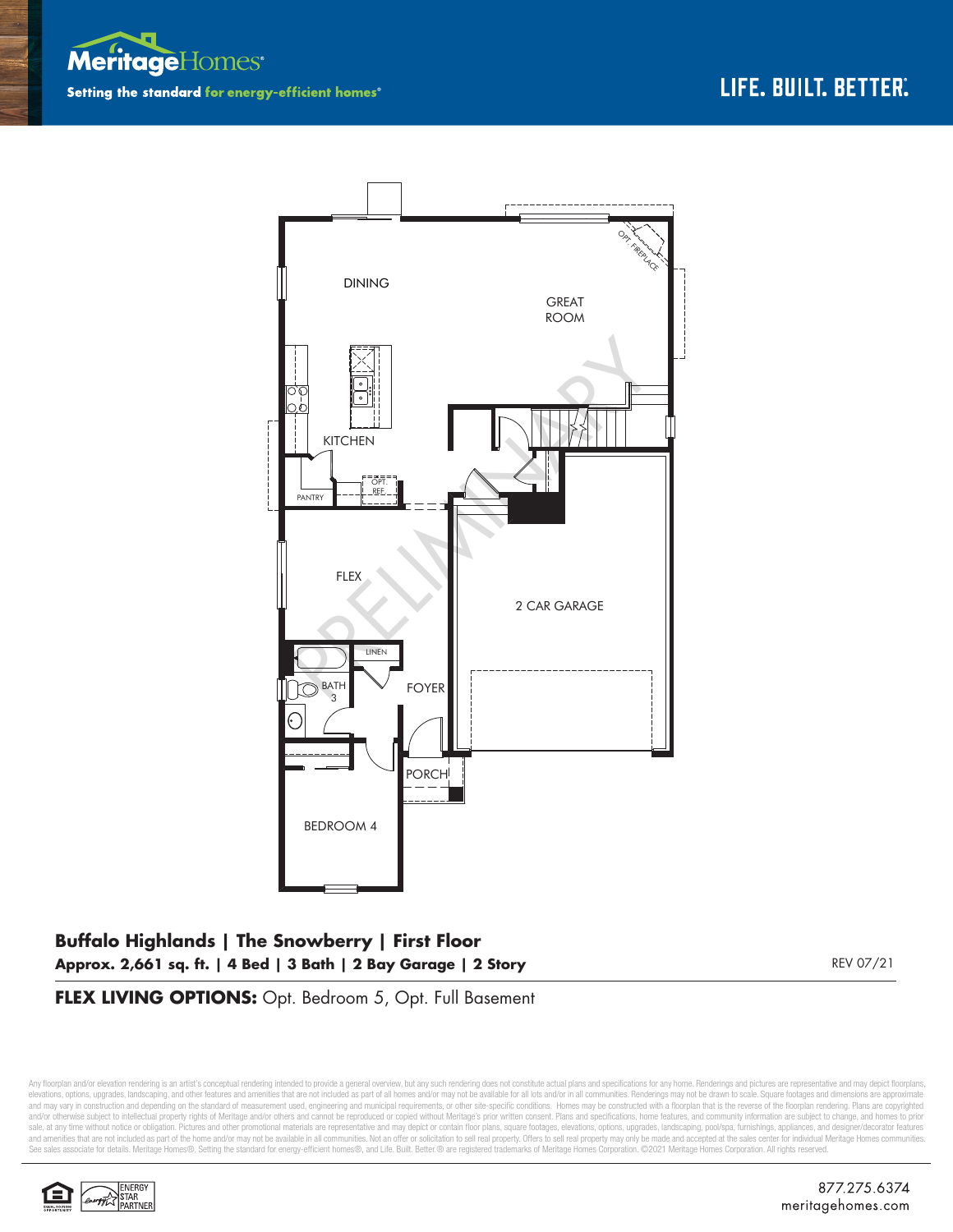



## **Buffalo Highlands | The Snowberry | First Floor Approx. 2,661 sq. ft. | 4 Bed | 3 Bath | 2 Bay Garage | 2 Story** REV 07/21

**FLEX LIVING OPTIONS:** Opt. Bedroom 5, Opt. Full Basement

Any floorplan and/or elevation rendering is an artist's conceptual rendering intended to provide a general overview, but any such rendering does not constitute actual plans and specifications for any home. Renderings and p elevations, options, upgrades, landscaping, and other features and amenities that are not included as part of all homes and/or may not be available for all lots and/or in all communities. Renderings may not be drawn to sca and may vary in construction and depending on the standard of measurement used, engineering and municipal requirements, or other site-specific conditions. Homes may be constructed with a floorplan that is the reverse of th and/or otherwise subject to intellectual property rights of Meritage and/or others and cannot be reproduced or copied without Meritage's prior written consent. Plans and specifications, home features, and community informa sale, at any time without notice or obligation. Pictures and other promotional materials are representative and may depict or contain floor plans, square footages, elevations, options, upgrades, landscaping, pool/spa, furn See sales associate for details. Meritage Homes®, Setting the standard for energy-efficient homes®, and Life. Built. Better. @ are registered trademarks of Meritage Homes Corporation. ©2021 Meritage Homes Corporation. All

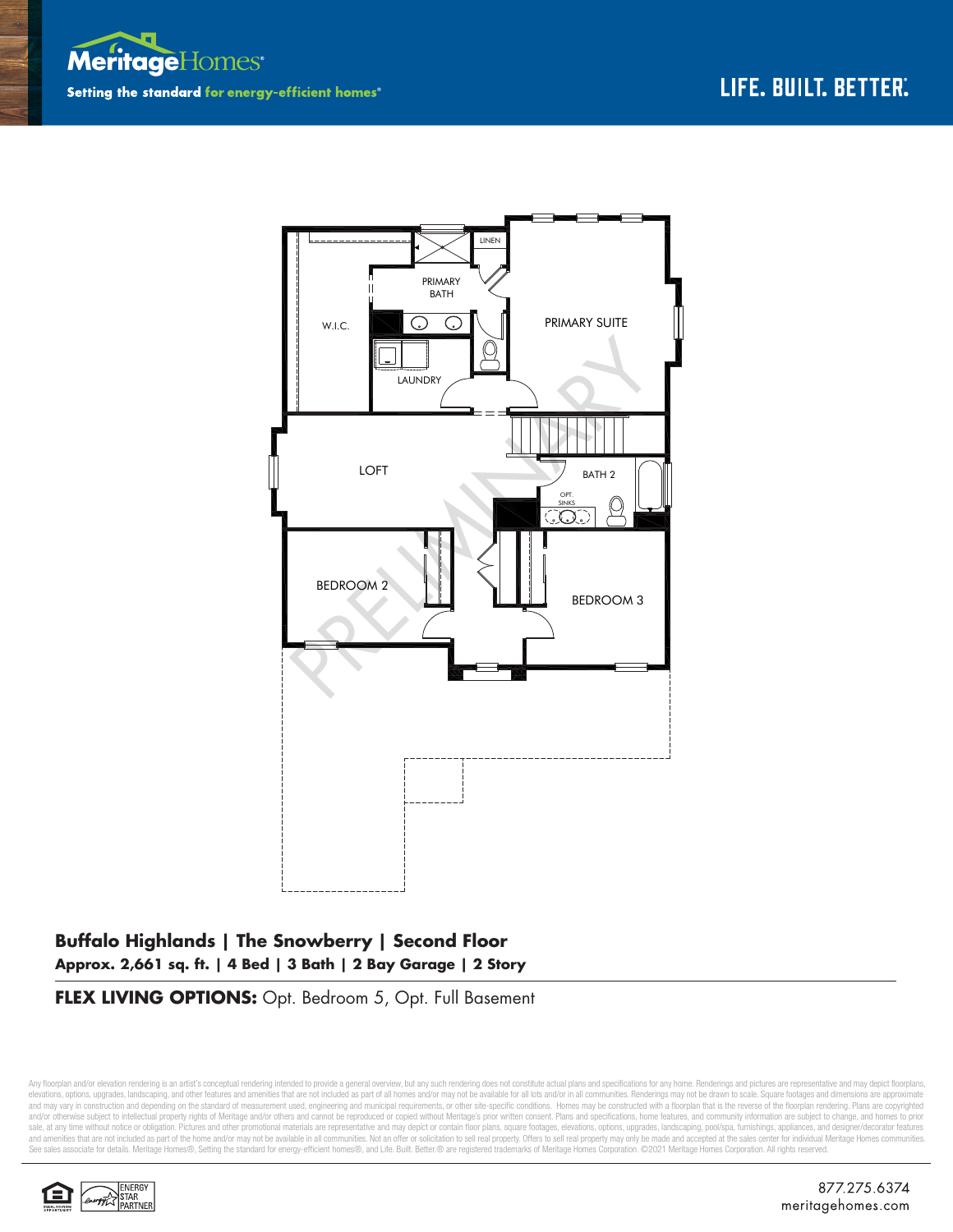



## **Buffalo Highlands | The Snowberry | Second Floor Approx. 2,661 sq. ft. | 4 Bed | 3 Bath | 2 Bay Garage | 2 Story**

**FLEX LIVING OPTIONS:** Opt. Bedroom 5, Opt. Full Basement

Any floorplan and/or elevation rendering is an artist's conceptual rendering intended to provide a general overview, but any such rendering does not constitute actual plans and specifications for any home. Renderings and p elevations, options, upgrades, landscaping, and other features and amenities that are not included as part of all homes and/or may not be available for all lots and/or in all communities. Renderings may not be drawn to sca and may vary in construction and depending on the standard of measurement used, engineering and municipal requirements, or other site-specific conditions. Homes may be constructed with a floorplan that is the reverse of th and/or otherwise subject to intellectual property rights of Meritage and/or others and cannot be reproduced or copied without Meritage's prior written consent. Plans and specifications, home features, and community informa sale, at any time without notice or obligation. Pictures and other promotional materials are representative and may depict or contain floor plans, square footages, elevations, options, upgrades, landscaping, pool/spa, furn See sales associate for details. Meritage Homes®, Setting the standard for energy-efficient homes®, and Life. Built. Better. @ are registered trademarks of Meritage Homes Corporation. ©2021 Meritage Homes Corporation. All

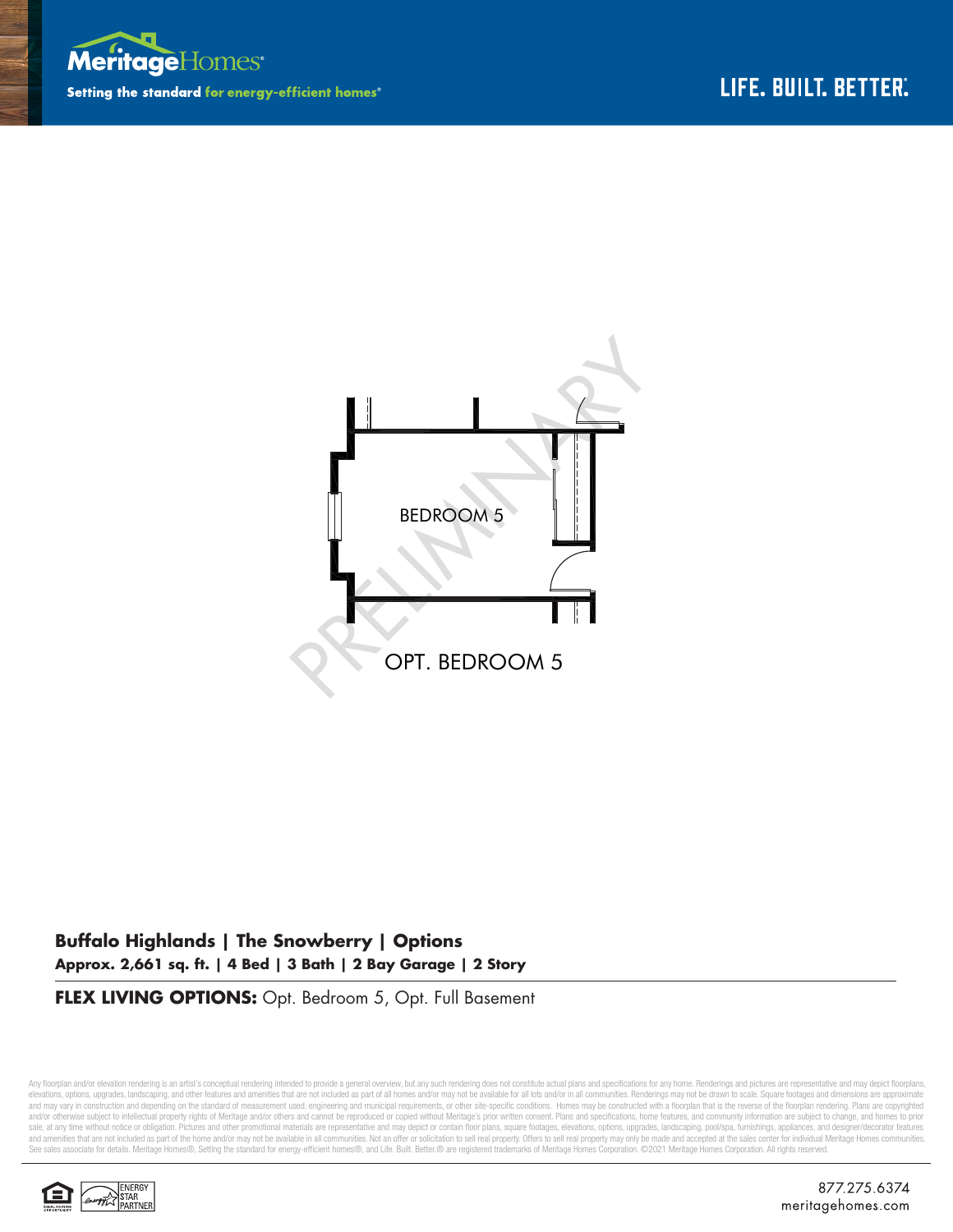



## **Buffalo Highlands | The Snowberry | Options Approx. 2,661 sq. ft. | 4 Bed | 3 Bath | 2 Bay Garage | 2 Story**

**FLEX LIVING OPTIONS:** Opt. Bedroom 5, Opt. Full Basement

Any floorplan and/or elevation rendering is an artist's conceptual rendering intended to provide a general overview, but any such rendering does not constitute actual plans and specifications for any home. Renderings and p elevations, options, upgrades, landscaping, and other features and amenities that are not included as part of all homes and/or may not be available for all lots and/or in all communities. Renderings may not be drawn to sca and may vary in construction and depending on the standard of measurement used, engineering and municipal requirements, or other site-specific conditions. Homes may be constructed with a floorplan that is the reverse of th and/or otherwise subject to intellectual property rights of Meritage and/or others and cannot be reproduced or copied without Meritage's prior written consent. Plans and specifications, home features, and community informa sale, at any time without notice or obligation. Pictures and other promotional materials are representative and may depict or contain floor plans, square footages, elevations, options, upgrades, landscaping, pool/spa, furn See sales associate for details. Meritage Homes®, Setting the standard for energy-efficient homes®, and Life. Built. Better.® are registered trademarks of Meritage Homes Corporation. ©2021 Meritage Homes Corporation. All r